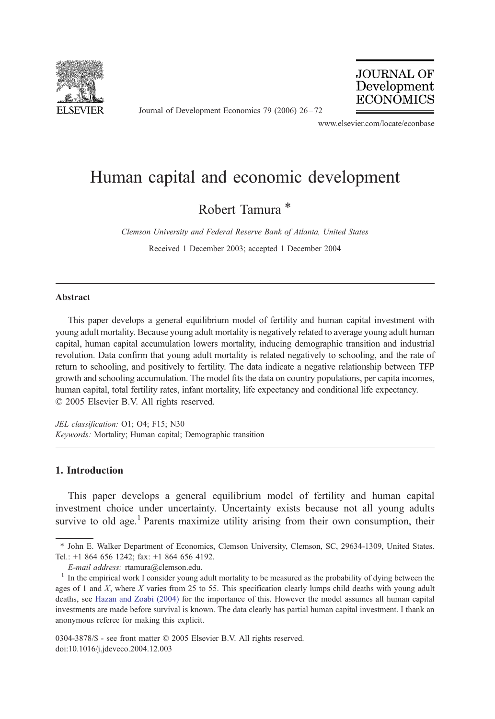

Journal of Development Economics 79 (2006) 26 – 72



www.elsevier.com/locate/econbase

## Human capital and economic development

## Robert Tamura \*

Clemson University and Federal Reserve Bank of Atlanta, United States

Received 1 December 2003; accepted 1 December 2004

#### Abstract

This paper develops a general equilibrium model of fertility and human capital investment with young adult mortality. Because young adult mortality is negatively related to average young adult human capital, human capital accumulation lowers mortality, inducing demographic transition and industrial revolution. Data confirm that young adult mortality is related negatively to schooling, and the rate of return to schooling, and positively to fertility. The data indicate a negative relationship between TFP growth and schooling accumulation. The model fits the data on country populations, per capita incomes, human capital, total fertility rates, infant mortality, life expectancy and conditional life expectancy.  $© 2005 Elsevier B.V. All rights reserved.$ 

JEL classification: O1; O4; F15; N30 Keywords: Mortality; Human capital; Demographic transition

### 1. Introduction

This paper develops a general equilibrium model of fertility and human capital investment choice under uncertainty. Uncertainty exists because not all young adults survive to old age.<sup>1</sup> Parents maximize utility arising from their own consumption, their

<sup>\*</sup> John E. Walker Department of Economics, Clemson University, Clemson, SC, 29634-1309, United States. Tel.: +1 864 656 1242; fax: +1 864 656 4192.

E-mail address: rtamura@clemson.edu.

 $1$  In the empirical work I consider young adult mortality to be measured as the probability of dying between the ages of 1 and  $X$ , where  $X$  varies from 25 to 55. This specification clearly lumps child deaths with young adult deaths, see [Hazan and Zoabi \(2004\)](#page--1-0) for the importance of this. However the model assumes all human capital investments are made before survival is known. The data clearly has partial human capital investment. I thank an anonymous referee for making this explicit.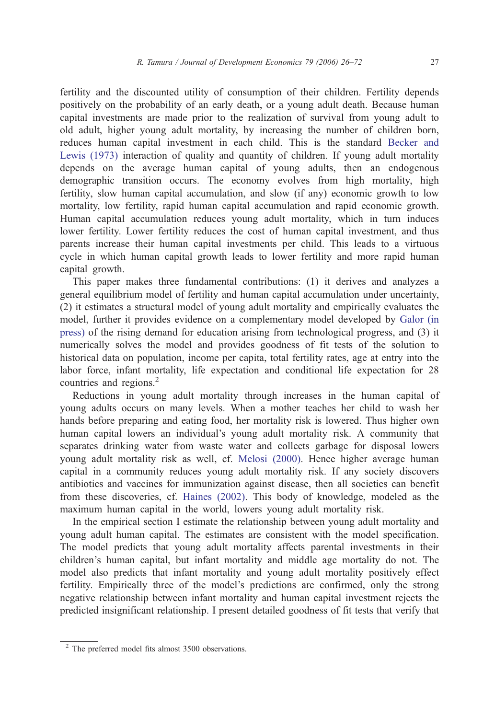fertility and the discounted utility of consumption of their children. Fertility depends positively on the probability of an early death, or a young adult death. Because human capital investments are made prior to the realization of survival from young adult to old adult, higher young adult mortality, by increasing the number of children born, reduces human capital investment in each child. This is the standard [Becker and](#page--1-0) Lewis (1973) interaction of quality and quantity of children. If young adult mortality depends on the average human capital of young adults, then an endogenous demographic transition occurs. The economy evolves from high mortality, high fertility, slow human capital accumulation, and slow (if any) economic growth to low mortality, low fertility, rapid human capital accumulation and rapid economic growth. Human capital accumulation reduces young adult mortality, which in turn induces lower fertility. Lower fertility reduces the cost of human capital investment, and thus parents increase their human capital investments per child. This leads to a virtuous cycle in which human capital growth leads to lower fertility and more rapid human capital growth.

This paper makes three fundamental contributions: (1) it derives and analyzes a general equilibrium model of fertility and human capital accumulation under uncertainty, (2) it estimates a structural model of young adult mortality and empirically evaluates the model, further it provides evidence on a complementary model developed by [Galor \(in](#page--1-0) press) of the rising demand for education arising from technological progress, and (3) it numerically solves the model and provides goodness of fit tests of the solution to historical data on population, income per capita, total fertility rates, age at entry into the labor force, infant mortality, life expectation and conditional life expectation for 28 countries and regions.<sup>2</sup>

Reductions in young adult mortality through increases in the human capital of young adults occurs on many levels. When a mother teaches her child to wash her hands before preparing and eating food, her mortality risk is lowered. Thus higher own human capital lowers an individual's young adult mortality risk. A community that separates drinking water from waste water and collects garbage for disposal lowers young adult mortality risk as well, cf. [Melosi \(2000\).](#page--1-0) Hence higher average human capital in a community reduces young adult mortality risk. If any society discovers antibiotics and vaccines for immunization against disease, then all societies can benefit from these discoveries, cf. [Haines \(2002\).](#page--1-0) This body of knowledge, modeled as the maximum human capital in the world, lowers young adult mortality risk.

In the empirical section I estimate the relationship between young adult mortality and young adult human capital. The estimates are consistent with the model specification. The model predicts that young adult mortality affects parental investments in their children's human capital, but infant mortality and middle age mortality do not. The model also predicts that infant mortality and young adult mortality positively effect fertility. Empirically three of the model's predictions are confirmed, only the strong negative relationship between infant mortality and human capital investment rejects the predicted insignificant relationship. I present detailed goodness of fit tests that verify that

<sup>2</sup> The preferred model fits almost 3500 observations.